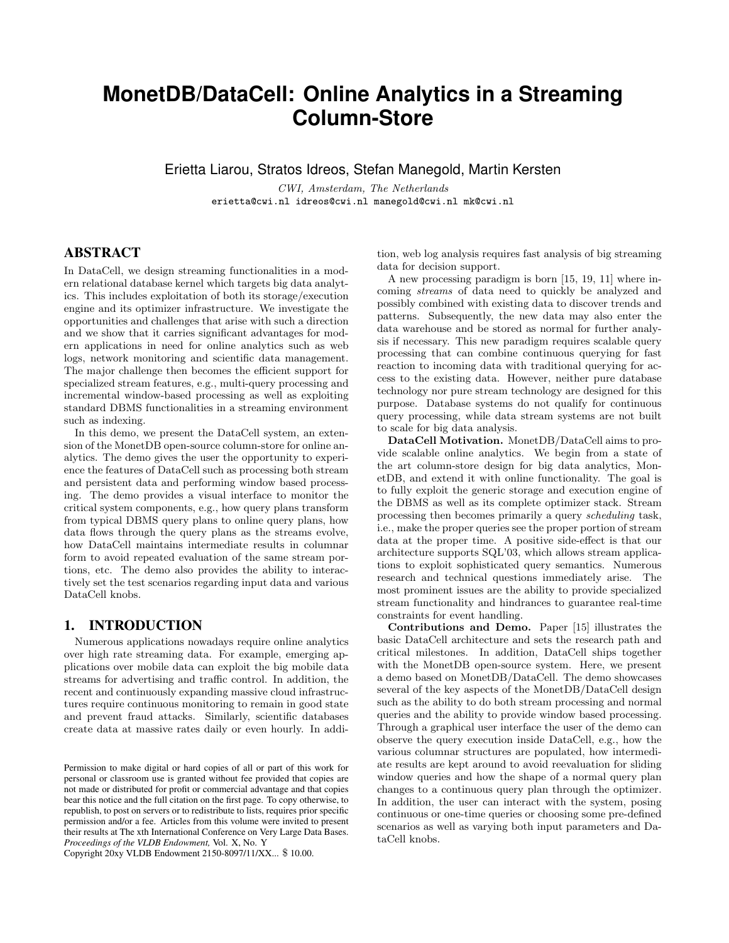# **MonetDB/DataCell: Online Analytics in a Streaming Column-Store**

Erietta Liarou, Stratos Idreos, Stefan Manegold, Martin Kersten

CWI, Amsterdam, The Netherlands erietta@cwi.nl idreos@cwi.nl manegold@cwi.nl mk@cwi.nl

## ABSTRACT

In DataCell, we design streaming functionalities in a modern relational database kernel which targets big data analytics. This includes exploitation of both its storage/execution engine and its optimizer infrastructure. We investigate the opportunities and challenges that arise with such a direction and we show that it carries significant advantages for modern applications in need for online analytics such as web logs, network monitoring and scientific data management. The major challenge then becomes the efficient support for specialized stream features, e.g., multi-query processing and incremental window-based processing as well as exploiting standard DBMS functionalities in a streaming environment such as indexing.

In this demo, we present the DataCell system, an extension of the MonetDB open-source column-store for online analytics. The demo gives the user the opportunity to experience the features of DataCell such as processing both stream and persistent data and performing window based processing. The demo provides a visual interface to monitor the critical system components, e.g., how query plans transform from typical DBMS query plans to online query plans, how data flows through the query plans as the streams evolve, how DataCell maintains intermediate results in columnar form to avoid repeated evaluation of the same stream portions, etc. The demo also provides the ability to interactively set the test scenarios regarding input data and various DataCell knobs.

#### 1. INTRODUCTION

Numerous applications nowadays require online analytics over high rate streaming data. For example, emerging applications over mobile data can exploit the big mobile data streams for advertising and traffic control. In addition, the recent and continuously expanding massive cloud infrastructures require continuous monitoring to remain in good state and prevent fraud attacks. Similarly, scientific databases create data at massive rates daily or even hourly. In addi-

Copyright 20xy VLDB Endowment 2150-8097/11/XX... \$ 10.00.

tion, web log analysis requires fast analysis of big streaming data for decision support.

A new processing paradigm is born [15, 19, 11] where incoming streams of data need to quickly be analyzed and possibly combined with existing data to discover trends and patterns. Subsequently, the new data may also enter the data warehouse and be stored as normal for further analysis if necessary. This new paradigm requires scalable query processing that can combine continuous querying for fast reaction to incoming data with traditional querying for access to the existing data. However, neither pure database technology nor pure stream technology are designed for this purpose. Database systems do not qualify for continuous query processing, while data stream systems are not built to scale for big data analysis.

DataCell Motivation. MonetDB/DataCell aims to provide scalable online analytics. We begin from a state of the art column-store design for big data analytics, MonetDB, and extend it with online functionality. The goal is to fully exploit the generic storage and execution engine of the DBMS as well as its complete optimizer stack. Stream processing then becomes primarily a query scheduling task, i.e., make the proper queries see the proper portion of stream data at the proper time. A positive side-effect is that our architecture supports SQL'03, which allows stream applications to exploit sophisticated query semantics. Numerous research and technical questions immediately arise. The most prominent issues are the ability to provide specialized stream functionality and hindrances to guarantee real-time constraints for event handling.

Contributions and Demo. Paper [15] illustrates the basic DataCell architecture and sets the research path and critical milestones. In addition, DataCell ships together with the MonetDB open-source system. Here, we present a demo based on MonetDB/DataCell. The demo showcases several of the key aspects of the MonetDB/DataCell design such as the ability to do both stream processing and normal queries and the ability to provide window based processing. Through a graphical user interface the user of the demo can observe the query execution inside DataCell, e.g., how the various columnar structures are populated, how intermediate results are kept around to avoid reevaluation for sliding window queries and how the shape of a normal query plan changes to a continuous query plan through the optimizer. In addition, the user can interact with the system, posing continuous or one-time queries or choosing some pre-defined scenarios as well as varying both input parameters and DataCell knobs.

Permission to make digital or hard copies of all or part of this work for personal or classroom use is granted without fee provided that copies are not made or distributed for profit or commercial advantage and that copies bear this notice and the full citation on the first page. To copy otherwise, to republish, to post on servers or to redistribute to lists, requires prior specific permission and/or a fee. Articles from this volume were invited to present their results at The xth International Conference on Very Large Data Bases. *Proceedings of the VLDB Endowment,* Vol. X, No. Y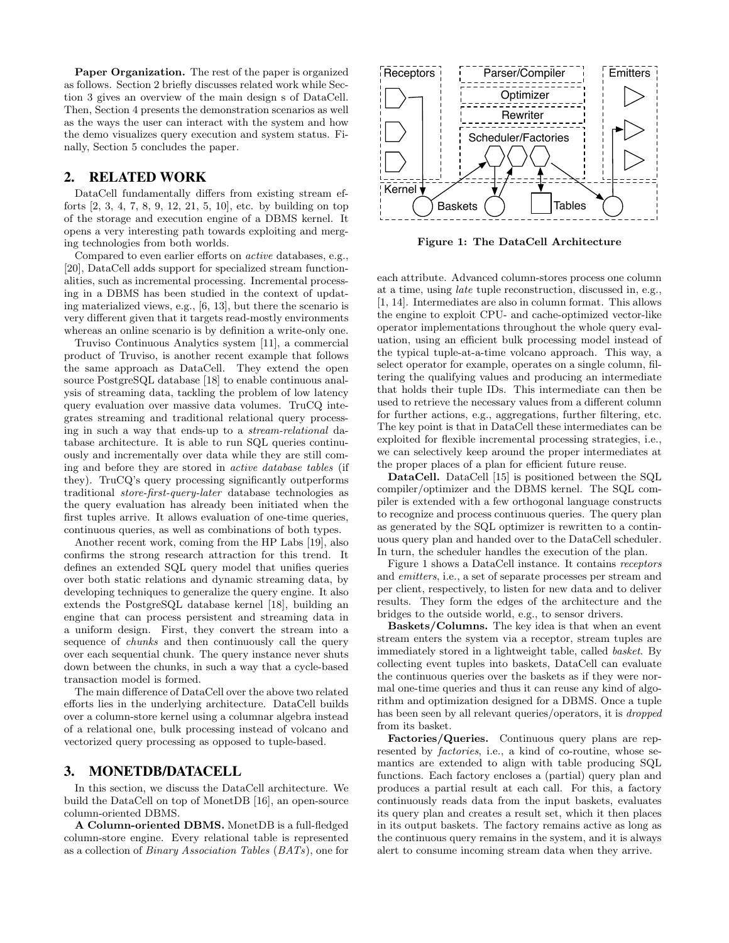Paper Organization. The rest of the paper is organized as follows. Section 2 briefly discusses related work while Section 3 gives an overview of the main design s of DataCell. Then, Section 4 presents the demonstration scenarios as well as the ways the user can interact with the system and how the demo visualizes query execution and system status. Finally, Section 5 concludes the paper.

## 2. RELATED WORK

DataCell fundamentally differs from existing stream efforts [2, 3, 4, 7, 8, 9, 12, 21, 5, 10], etc. by building on top of the storage and execution engine of a DBMS kernel. It opens a very interesting path towards exploiting and merging technologies from both worlds.

Compared to even earlier efforts on active databases, e.g., [20], DataCell adds support for specialized stream functionalities, such as incremental processing. Incremental processing in a DBMS has been studied in the context of updating materialized views, e.g., [6, 13], but there the scenario is very different given that it targets read-mostly environments whereas an online scenario is by definition a write-only one.

Truviso Continuous Analytics system [11], a commercial product of Truviso, is another recent example that follows the same approach as DataCell. They extend the open source PostgreSQL database [18] to enable continuous analysis of streaming data, tackling the problem of low latency query evaluation over massive data volumes. TruCQ integrates streaming and traditional relational query processing in such a way that ends-up to a stream-relational database architecture. It is able to run SQL queries continuously and incrementally over data while they are still coming and before they are stored in active database tables (if they). TruCQ's query processing significantly outperforms traditional store-first-query-later database technologies as the query evaluation has already been initiated when the first tuples arrive. It allows evaluation of one-time queries, continuous queries, as well as combinations of both types.

Another recent work, coming from the HP Labs [19], also confirms the strong research attraction for this trend. It defines an extended SQL query model that unifies queries over both static relations and dynamic streaming data, by developing techniques to generalize the query engine. It also extends the PostgreSQL database kernel [18], building an engine that can process persistent and streaming data in a uniform design. First, they convert the stream into a sequence of *chunks* and then continuously call the query over each sequential chunk. The query instance never shuts down between the chunks, in such a way that a cycle-based transaction model is formed.

The main difference of DataCell over the above two related efforts lies in the underlying architecture. DataCell builds over a column-store kernel using a columnar algebra instead of a relational one, bulk processing instead of volcano and vectorized query processing as opposed to tuple-based.

#### 3. MONETDB/DATACELL

In this section, we discuss the DataCell architecture. We build the DataCell on top of MonetDB [16], an open-source column-oriented DBMS.

A Column-oriented DBMS. MonetDB is a full-fledged column-store engine. Every relational table is represented as a collection of Binary Association Tables (BATs), one for



Figure 1: The DataCell Architecture

each attribute. Advanced column-stores process one column at a time, using late tuple reconstruction, discussed in, e.g., [1, 14]. Intermediates are also in column format. This allows the engine to exploit CPU- and cache-optimized vector-like operator implementations throughout the whole query evaluation, using an efficient bulk processing model instead of the typical tuple-at-a-time volcano approach. This way, a select operator for example, operates on a single column, filtering the qualifying values and producing an intermediate that holds their tuple IDs. This intermediate can then be used to retrieve the necessary values from a different column for further actions, e.g., aggregations, further filtering, etc. The key point is that in DataCell these intermediates can be exploited for flexible incremental processing strategies, i.e., we can selectively keep around the proper intermediates at the proper places of a plan for efficient future reuse.

DataCell. DataCell [15] is positioned between the SQL compiler/optimizer and the DBMS kernel. The SQL compiler is extended with a few orthogonal language constructs to recognize and process continuous queries. The query plan as generated by the SQL optimizer is rewritten to a continuous query plan and handed over to the DataCell scheduler. In turn, the scheduler handles the execution of the plan.

Figure 1 shows a DataCell instance. It contains receptors and emitters, i.e., a set of separate processes per stream and per client, respectively, to listen for new data and to deliver results. They form the edges of the architecture and the bridges to the outside world, e.g., to sensor drivers.

Baskets/Columns. The key idea is that when an event stream enters the system via a receptor, stream tuples are immediately stored in a lightweight table, called basket. By collecting event tuples into baskets, DataCell can evaluate the continuous queries over the baskets as if they were normal one-time queries and thus it can reuse any kind of algorithm and optimization designed for a DBMS. Once a tuple has been seen by all relevant queries/operators, it is dropped from its basket.

Factories/Queries. Continuous query plans are represented by factories, i.e., a kind of co-routine, whose semantics are extended to align with table producing SQL functions. Each factory encloses a (partial) query plan and produces a partial result at each call. For this, a factory continuously reads data from the input baskets, evaluates its query plan and creates a result set, which it then places in its output baskets. The factory remains active as long as the continuous query remains in the system, and it is always alert to consume incoming stream data when they arrive.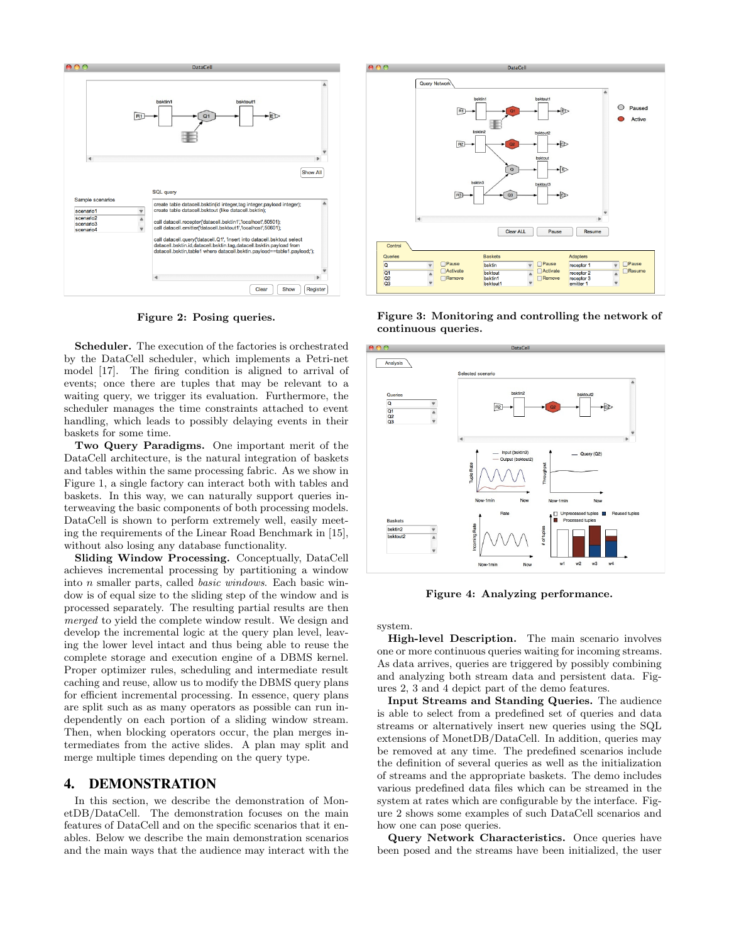

Figure 2: Posing queries.

Scheduler. The execution of the factories is orchestrated by the DataCell scheduler, which implements a Petri-net model [17]. The firing condition is aligned to arrival of events; once there are tuples that may be relevant to a waiting query, we trigger its evaluation. Furthermore, the scheduler manages the time constraints attached to event handling, which leads to possibly delaying events in their baskets for some time.

Two Query Paradigms. One important merit of the DataCell architecture, is the natural integration of baskets and tables within the same processing fabric. As we show in Figure 1, a single factory can interact both with tables and baskets. In this way, we can naturally support queries interweaving the basic components of both processing models. DataCell is shown to perform extremely well, easily meeting the requirements of the Linear Road Benchmark in [15], without also losing any database functionality.

Sliding Window Processing. Conceptually, DataCell achieves incremental processing by partitioning a window into n smaller parts, called basic windows. Each basic window is of equal size to the sliding step of the window and is processed separately. The resulting partial results are then merged to yield the complete window result. We design and develop the incremental logic at the query plan level, leaving the lower level intact and thus being able to reuse the complete storage and execution engine of a DBMS kernel. Proper optimizer rules, scheduling and intermediate result caching and reuse, allow us to modify the DBMS query plans for efficient incremental processing. In essence, query plans are split such as as many operators as possible can run independently on each portion of a sliding window stream. Then, when blocking operators occur, the plan merges intermediates from the active slides. A plan may split and merge multiple times depending on the query type.

#### 4. DEMONSTRATION

In this section, we describe the demonstration of MonetDB/DataCell. The demonstration focuses on the main features of DataCell and on the specific scenarios that it enables. Below we describe the main demonstration scenarios and the main ways that the audience may interact with the



Figure 3: Monitoring and controlling the network of continuous queries.



Figure 4: Analyzing performance.

system.

High-level Description. The main scenario involves one or more continuous queries waiting for incoming streams. As data arrives, queries are triggered by possibly combining and analyzing both stream data and persistent data. Figures 2, 3 and 4 depict part of the demo features.

Input Streams and Standing Queries. The audience is able to select from a predefined set of queries and data streams or alternatively insert new queries using the SQL extensions of MonetDB/DataCell. In addition, queries may be removed at any time. The predefined scenarios include the definition of several queries as well as the initialization of streams and the appropriate baskets. The demo includes various predefined data files which can be streamed in the system at rates which are configurable by the interface. Figure 2 shows some examples of such DataCell scenarios and how one can pose queries.

Query Network Characteristics. Once queries have been posed and the streams have been initialized, the user